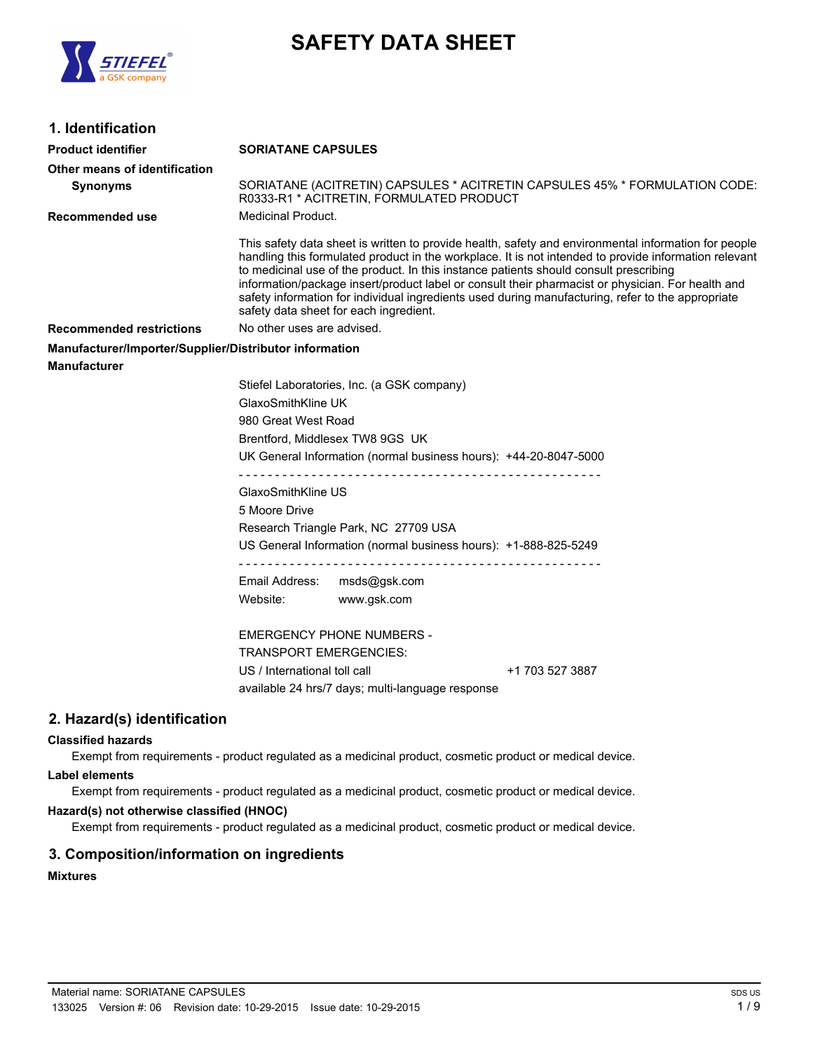

# **SAFETY DATA SHEET**

# **1. Identification**

| 1. IUCIILIILALIVII                                     |                                                                                                                                                                                                                                                                                                                                                                                                                                                                                                                                                            |
|--------------------------------------------------------|------------------------------------------------------------------------------------------------------------------------------------------------------------------------------------------------------------------------------------------------------------------------------------------------------------------------------------------------------------------------------------------------------------------------------------------------------------------------------------------------------------------------------------------------------------|
| Product identifier                                     | <b>SORIATANE CAPSULES</b>                                                                                                                                                                                                                                                                                                                                                                                                                                                                                                                                  |
| Other means of identification                          |                                                                                                                                                                                                                                                                                                                                                                                                                                                                                                                                                            |
| <b>Synonyms</b>                                        | SORIATANE (ACITRETIN) CAPSULES * ACITRETIN CAPSULES 45% * FORMULATION CODE:<br>R0333-R1 * ACITRETIN, FORMULATED PRODUCT                                                                                                                                                                                                                                                                                                                                                                                                                                    |
| Recommended use                                        | Medicinal Product.                                                                                                                                                                                                                                                                                                                                                                                                                                                                                                                                         |
|                                                        | This safety data sheet is written to provide health, safety and environmental information for people<br>handling this formulated product in the workplace. It is not intended to provide information relevant<br>to medicinal use of the product. In this instance patients should consult prescribing<br>information/package insert/product label or consult their pharmacist or physician. For health and<br>safety information for individual ingredients used during manufacturing, refer to the appropriate<br>safety data sheet for each ingredient. |
| <b>Recommended restrictions</b>                        | No other uses are advised.                                                                                                                                                                                                                                                                                                                                                                                                                                                                                                                                 |
| Manufacturer/Importer/Supplier/Distributor information |                                                                                                                                                                                                                                                                                                                                                                                                                                                                                                                                                            |
| Manufacturer                                           |                                                                                                                                                                                                                                                                                                                                                                                                                                                                                                                                                            |
|                                                        | Stiefel Laboratories, Inc. (a GSK company)                                                                                                                                                                                                                                                                                                                                                                                                                                                                                                                 |
|                                                        | GlaxoSmithKline UK                                                                                                                                                                                                                                                                                                                                                                                                                                                                                                                                         |
|                                                        | 980 Great West Road                                                                                                                                                                                                                                                                                                                                                                                                                                                                                                                                        |
|                                                        | Brentford, Middlesex TW8 9GS UK                                                                                                                                                                                                                                                                                                                                                                                                                                                                                                                            |
|                                                        | UK General Information (normal business hours): +44-20-8047-5000                                                                                                                                                                                                                                                                                                                                                                                                                                                                                           |
|                                                        | GlaxoSmithKline US                                                                                                                                                                                                                                                                                                                                                                                                                                                                                                                                         |
|                                                        | 5 Moore Drive                                                                                                                                                                                                                                                                                                                                                                                                                                                                                                                                              |
|                                                        | Research Triangle Park, NC 27709 USA                                                                                                                                                                                                                                                                                                                                                                                                                                                                                                                       |
|                                                        | US General Information (normal business hours): +1-888-825-5249                                                                                                                                                                                                                                                                                                                                                                                                                                                                                            |
|                                                        |                                                                                                                                                                                                                                                                                                                                                                                                                                                                                                                                                            |
|                                                        | Email Address:<br>msds@gsk.com                                                                                                                                                                                                                                                                                                                                                                                                                                                                                                                             |
|                                                        | Website:<br>www.gsk.com                                                                                                                                                                                                                                                                                                                                                                                                                                                                                                                                    |
|                                                        | <b>EMERGENCY PHONE NUMBERS -</b><br><b>TRANSPORT EMERGENCIES:</b><br>US / International toll call<br>+1 703 527 3887                                                                                                                                                                                                                                                                                                                                                                                                                                       |
|                                                        | available 24 hrs/7 days; multi-language response                                                                                                                                                                                                                                                                                                                                                                                                                                                                                                           |
|                                                        |                                                                                                                                                                                                                                                                                                                                                                                                                                                                                                                                                            |

## **2. Hazard(s) identification**

#### **Classified hazards**

Exempt from requirements - product regulated as a medicinal product, cosmetic product or medical device.

## **Label elements**

Exempt from requirements - product regulated as a medicinal product, cosmetic product or medical device.

#### **Hazard(s) not otherwise classified (HNOC)**

Exempt from requirements - product regulated as a medicinal product, cosmetic product or medical device.

## **3. Composition/information on ingredients**

**Mixtures**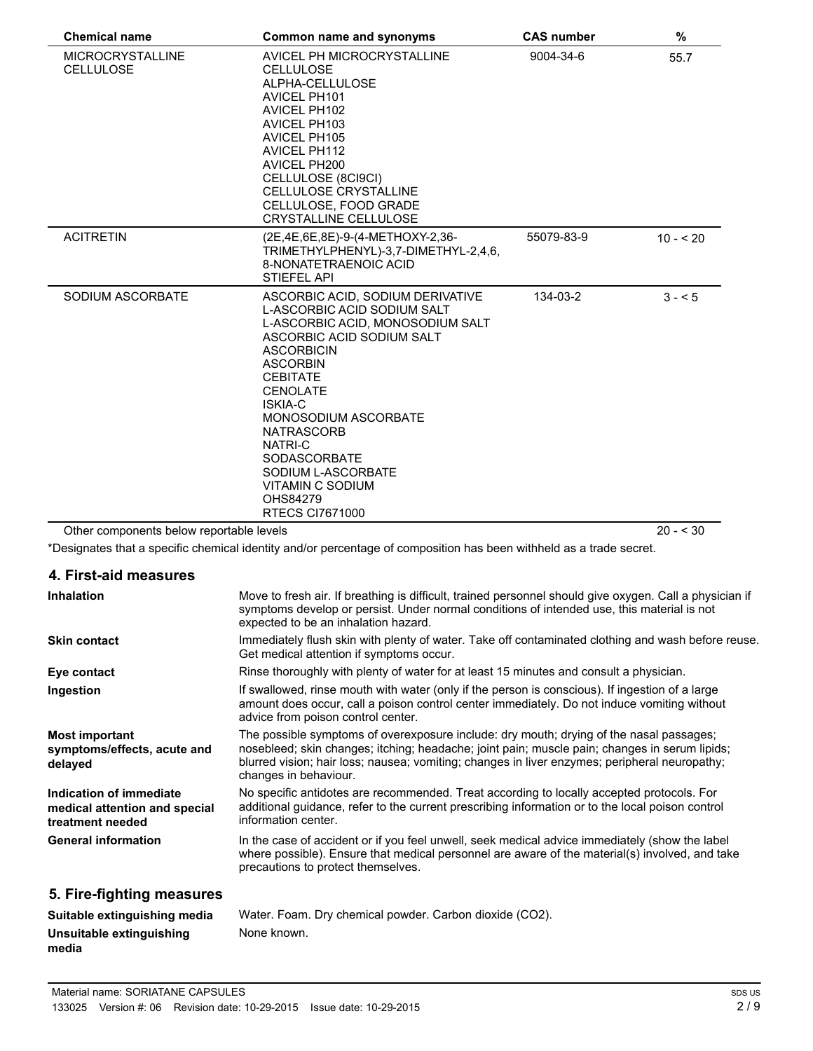| <b>Chemical name</b>                        | <b>Common name and synonyms</b>                                                                                                                                                                                                                                                                                                                                                          | <b>CAS number</b> | $\%$       |
|---------------------------------------------|------------------------------------------------------------------------------------------------------------------------------------------------------------------------------------------------------------------------------------------------------------------------------------------------------------------------------------------------------------------------------------------|-------------------|------------|
| <b>MICROCRYSTALLINE</b><br><b>CELLULOSE</b> | AVICEL PH MICROCRYSTALLINE<br><b>CELLULOSE</b><br>ALPHA-CELLULOSE<br><b>AVICEL PH101</b><br><b>AVICEL PH102</b><br><b>AVICEL PH103</b><br><b>AVICEL PH105</b><br><b>AVICEL PH112</b><br><b>AVICEL PH200</b><br>CELLULOSE (8CI9CI)<br><b>CELLULOSE CRYSTALLINE</b><br>CELLULOSE, FOOD GRADE<br><b>CRYSTALLINE CELLULOSE</b>                                                               | 9004-34-6         | 55.7       |
| <b>ACITRETIN</b>                            | (2E,4E,6E,8E)-9-(4-METHOXY-2,36-<br>TRIMETHYLPHENYL)-3.7-DIMETHYL-2.4.6.<br>8-NONATETRAENOIC ACID<br><b>STIEFEL API</b>                                                                                                                                                                                                                                                                  | 55079-83-9        | $10 - 520$ |
| SODIUM ASCORBATE                            | ASCORBIC ACID, SODIUM DERIVATIVE<br>L-ASCORBIC ACID SODIUM SALT<br>L-ASCORBIC ACID, MONOSODIUM SALT<br>ASCORBIC ACID SODIUM SALT<br><b>ASCORBICIN</b><br><b>ASCORBIN</b><br><b>CEBITATE</b><br><b>CENOLATE</b><br>ISKIA-C<br>MONOSODIUM ASCORBATE<br><b>NATRASCORB</b><br>NATRI-C<br><b>SODASCORBATE</b><br>SODIUM L-ASCORBATE<br>VITAMIN C SODIUM<br>OHS84279<br><b>RTECS CI7671000</b> | 134-03-2          | $3 - 5$    |
| Other components below reportable levels    |                                                                                                                                                                                                                                                                                                                                                                                          |                   | $20 - 530$ |

\*Designates that a specific chemical identity and/or percentage of composition has been withheld as a trade secret.

|  | 4. First-aid measures |  |
|--|-----------------------|--|
|--|-----------------------|--|

| <b>Inhalation</b>                                                            | Move to fresh air. If breathing is difficult, trained personnel should give oxygen. Call a physician if<br>symptoms develop or persist. Under normal conditions of intended use, this material is not<br>expected to be an inhalation hazard.                                                                      |
|------------------------------------------------------------------------------|--------------------------------------------------------------------------------------------------------------------------------------------------------------------------------------------------------------------------------------------------------------------------------------------------------------------|
| <b>Skin contact</b>                                                          | Immediately flush skin with plenty of water. Take off contaminated clothing and wash before reuse.<br>Get medical attention if symptoms occur.                                                                                                                                                                     |
| Eye contact                                                                  | Rinse thoroughly with plenty of water for at least 15 minutes and consult a physician.                                                                                                                                                                                                                             |
| Ingestion                                                                    | If swallowed, rinse mouth with water (only if the person is conscious). If ingestion of a large<br>amount does occur, call a poison control center immediately. Do not induce vomiting without<br>advice from poison control center.                                                                               |
| <b>Most important</b><br>symptoms/effects, acute and<br>delayed              | The possible symptoms of overexposure include: dry mouth; drying of the nasal passages;<br>nosebleed; skin changes; itching; headache; joint pain; muscle pain; changes in serum lipids;<br>blurred vision; hair loss; nausea; vomiting; changes in liver enzymes; peripheral neuropathy;<br>changes in behaviour. |
| Indication of immediate<br>medical attention and special<br>treatment needed | No specific antidotes are recommended. Treat according to locally accepted protocols. For<br>additional quidance, refer to the current prescribing information or to the local poison control<br>information center.                                                                                               |
| <b>General information</b>                                                   | In the case of accident or if you feel unwell, seek medical advice immediately (show the label<br>where possible). Ensure that medical personnel are aware of the material(s) involved, and take<br>precautions to protect themselves.                                                                             |
| 5. Fire-fighting measures                                                    |                                                                                                                                                                                                                                                                                                                    |
| Suitable extinguishing media                                                 | Water, Foam, Dry chemical powder, Carbon dioxide $(CO2)$                                                                                                                                                                                                                                                           |

| Suitable extinguishing media      | Water. Foam. Dry chemical powder. Carbon dioxide (CO2). |
|-----------------------------------|---------------------------------------------------------|
| Unsuitable extinguishing<br>media | None known.                                             |
|                                   |                                                         |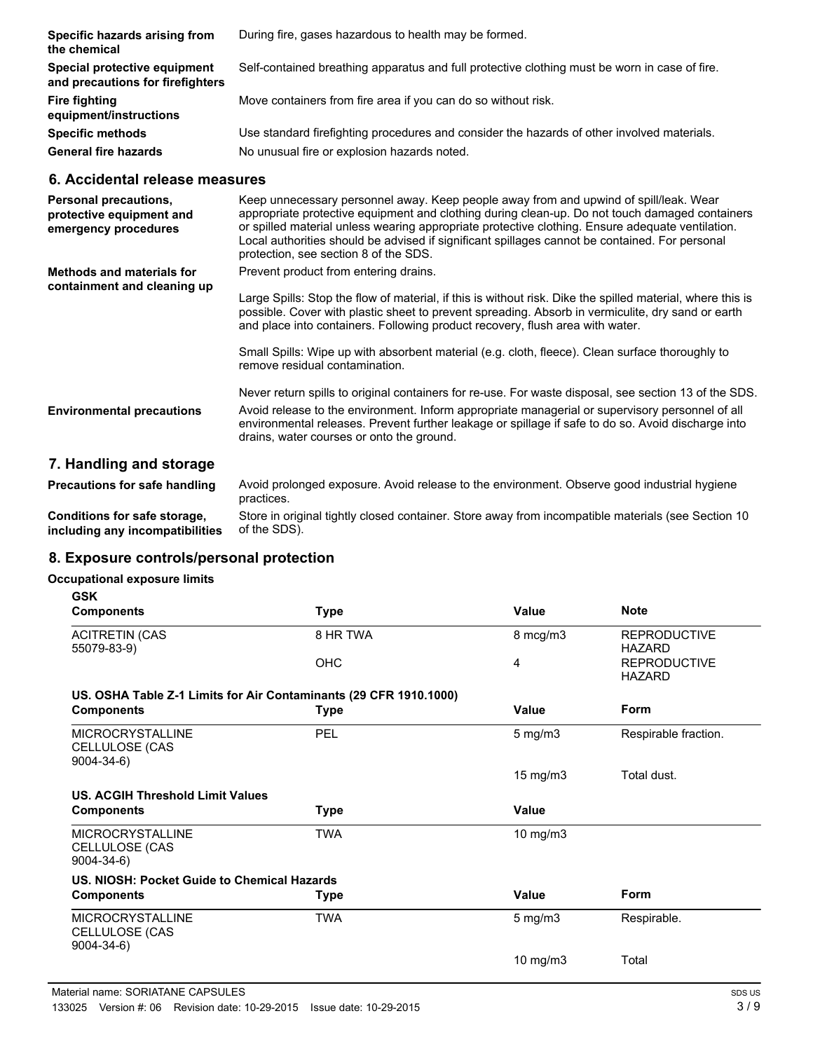| Specific hazards arising from<br>the chemical                    | During fire, gases hazardous to health may be formed.                                         |
|------------------------------------------------------------------|-----------------------------------------------------------------------------------------------|
| Special protective equipment<br>and precautions for firefighters | Self-contained breathing apparatus and full protective clothing must be worn in case of fire. |
| Fire fighting<br>equipment/instructions                          | Move containers from fire area if you can do so without risk.                                 |
| <b>Specific methods</b>                                          | Use standard firefighting procedures and consider the hazards of other involved materials.    |
| <b>General fire hazards</b>                                      | No unusual fire or explosion hazards noted.                                                   |

## **6. Accidental release measures**

| <b>Personal precautions,</b><br>protective equipment and<br>emergency procedures | Keep unnecessary personnel away. Keep people away from and upwind of spill/leak. Wear<br>appropriate protective equipment and clothing during clean-up. Do not touch damaged containers<br>or spilled material unless wearing appropriate protective clothing. Ensure adequate ventilation.<br>Local authorities should be advised if significant spillages cannot be contained. For personal<br>protection, see section 8 of the SDS. |
|----------------------------------------------------------------------------------|----------------------------------------------------------------------------------------------------------------------------------------------------------------------------------------------------------------------------------------------------------------------------------------------------------------------------------------------------------------------------------------------------------------------------------------|
| <b>Methods and materials for</b><br>containment and cleaning up                  | Prevent product from entering drains.                                                                                                                                                                                                                                                                                                                                                                                                  |
|                                                                                  | Large Spills: Stop the flow of material, if this is without risk. Dike the spilled material, where this is<br>possible. Cover with plastic sheet to prevent spreading. Absorb in vermiculite, dry sand or earth<br>and place into containers. Following product recovery, flush area with water.                                                                                                                                       |
|                                                                                  | Small Spills: Wipe up with absorbent material (e.g. cloth, fleece). Clean surface thoroughly to<br>remove residual contamination.                                                                                                                                                                                                                                                                                                      |
|                                                                                  | Never return spills to original containers for re-use. For waste disposal, see section 13 of the SDS.                                                                                                                                                                                                                                                                                                                                  |
| <b>Environmental precautions</b>                                                 | Avoid release to the environment. Inform appropriate managerial or supervisory personnel of all<br>environmental releases. Prevent further leakage or spillage if safe to do so. Avoid discharge into<br>drains, water courses or onto the ground.                                                                                                                                                                                     |
| 7. Handling and storage                                                          |                                                                                                                                                                                                                                                                                                                                                                                                                                        |
| <b>Precautions for safe handling</b>                                             | Avoid prolonged exposure. Avoid release to the environment. Observe good industrial hygiene                                                                                                                                                                                                                                                                                                                                            |

practices. Store in original tightly closed container. Store away from incompatible materials (see Section 10 of the SDS). **Conditions for safe storage, including any incompatibilities**

## **8. Exposure controls/personal protection**

#### **Occupational exposure limits**

| <b>GSK</b>                                                   |                                                                   |                   |                                      |
|--------------------------------------------------------------|-------------------------------------------------------------------|-------------------|--------------------------------------|
| <b>Components</b>                                            | <b>Type</b>                                                       | Value             | <b>Note</b>                          |
| <b>ACITRETIN (CAS</b><br>55079-83-9)                         | 8 HR TWA                                                          | 8 mcg/m3          | <b>REPRODUCTIVE</b><br><b>HAZARD</b> |
|                                                              | <b>OHC</b>                                                        | 4                 | <b>REPRODUCTIVE</b><br><b>HAZARD</b> |
|                                                              | US. OSHA Table Z-1 Limits for Air Contaminants (29 CFR 1910.1000) |                   |                                      |
| <b>Components</b>                                            | <b>Type</b>                                                       | Value             | <b>Form</b>                          |
| <b>MICROCRYSTALLINE</b><br>CELLULOSE (CAS<br>$9004 - 34 - 6$ | PEL                                                               | $5 \text{ mg/m}$  | Respirable fraction.                 |
|                                                              |                                                                   | $15 \text{ mg/m}$ | Total dust.                          |
| US. ACGIH Threshold Limit Values                             |                                                                   |                   |                                      |
| <b>Components</b>                                            | <b>Type</b>                                                       | Value             |                                      |
| <b>MICROCRYSTALLINE</b><br>CELLULOSE (CAS<br>$9004 - 34 - 6$ | <b>TWA</b>                                                        | 10 mg/m3          |                                      |
| US. NIOSH: Pocket Guide to Chemical Hazards                  |                                                                   |                   |                                      |
| <b>Components</b>                                            | <b>Type</b>                                                       | Value             | <b>Form</b>                          |
| <b>MICROCRYSTALLINE</b><br>CELLULOSE (CAS<br>$9004 - 34 - 6$ | <b>TWA</b>                                                        | $5$ mg/m $3$      | Respirable.                          |
|                                                              |                                                                   | 10 mg/m $3$       | Total                                |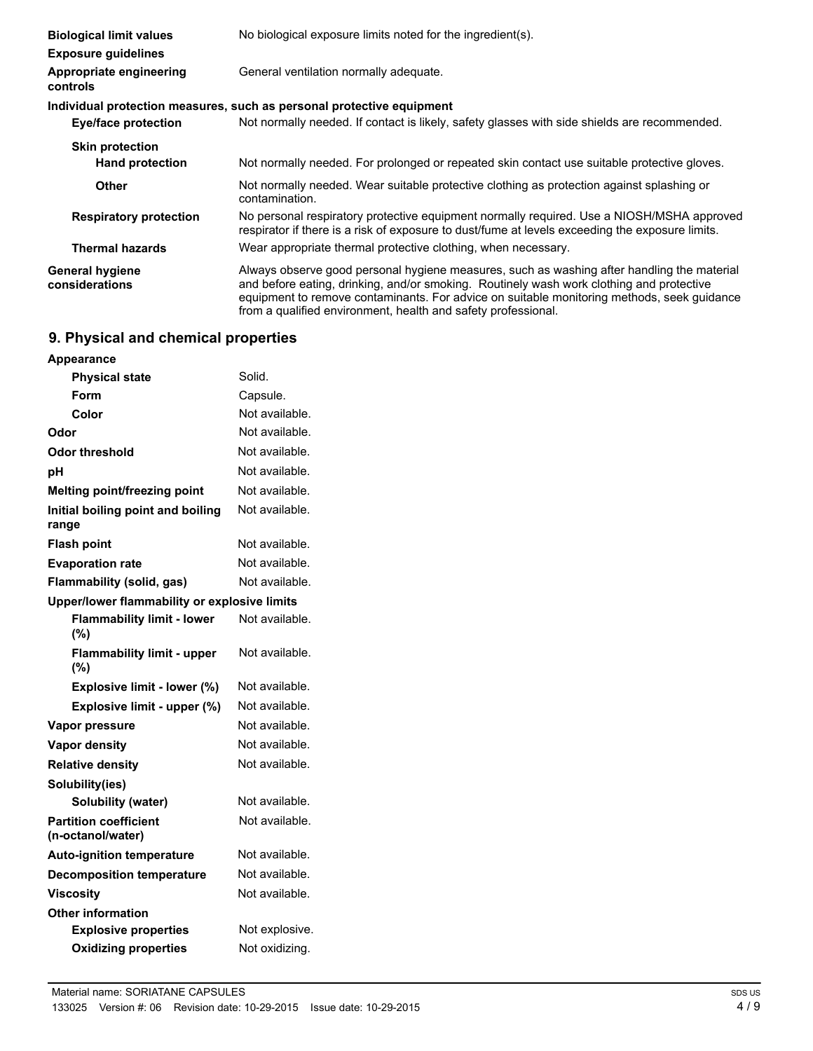| <b>Biological limit values</b>           | No biological exposure limits noted for the ingredient(s).                                                                                                                                                                                                                                                                                            |
|------------------------------------------|-------------------------------------------------------------------------------------------------------------------------------------------------------------------------------------------------------------------------------------------------------------------------------------------------------------------------------------------------------|
| <b>Exposure guidelines</b>               |                                                                                                                                                                                                                                                                                                                                                       |
| Appropriate engineering<br>controls      | General ventilation normally adequate.                                                                                                                                                                                                                                                                                                                |
|                                          | Individual protection measures, such as personal protective equipment                                                                                                                                                                                                                                                                                 |
| Eye/face protection                      | Not normally needed. If contact is likely, safety glasses with side shields are recommended.                                                                                                                                                                                                                                                          |
| <b>Skin protection</b>                   |                                                                                                                                                                                                                                                                                                                                                       |
| <b>Hand protection</b>                   | Not normally needed. For prolonged or repeated skin contact use suitable protective gloves.                                                                                                                                                                                                                                                           |
| Other                                    | Not normally needed. Wear suitable protective clothing as protection against splashing or<br>contamination.                                                                                                                                                                                                                                           |
| <b>Respiratory protection</b>            | No personal respiratory protective equipment normally required. Use a NIOSH/MSHA approved<br>respirator if there is a risk of exposure to dust/fume at levels exceeding the exposure limits.                                                                                                                                                          |
| <b>Thermal hazards</b>                   | Wear appropriate thermal protective clothing, when necessary.                                                                                                                                                                                                                                                                                         |
| <b>General hygiene</b><br>considerations | Always observe good personal hygiene measures, such as washing after handling the material<br>and before eating, drinking, and/or smoking. Routinely wash work clothing and protective<br>equipment to remove contaminants. For advice on suitable monitoring methods, seek guidance<br>from a qualified environment, health and safety professional. |

# **9. Physical and chemical properties**

| <b>Appearance</b>                                 |                |
|---------------------------------------------------|----------------|
| <b>Physical state</b>                             | Solid.         |
| Form                                              | Capsule.       |
| Color                                             | Not available. |
| Odor                                              | Not available. |
| Odor threshold                                    | Not available. |
| рH                                                | Not available. |
| Melting point/freezing point                      | Not available. |
| Initial boiling point and boiling<br>range        | Not available. |
| <b>Flash point</b>                                | Not available. |
| <b>Evaporation rate</b>                           | Not available. |
| Flammability (solid, gas)                         | Not available. |
| Upper/lower flammability or explosive limits      |                |
| <b>Flammability limit - lower</b><br>(%)          | Not available. |
| <b>Flammability limit - upper</b><br>(%)          | Not available. |
| Explosive limit - lower (%)                       | Not available. |
| Explosive limit - upper (%)                       | Not available. |
| <b>Vapor pressure</b>                             | Not available. |
| <b>Vapor density</b>                              | Not available. |
| <b>Relative density</b>                           | Not available. |
| Solubility(ies)                                   |                |
| <b>Solubility (water)</b>                         | Not available. |
| <b>Partition coefficient</b><br>(n-octanol/water) | Not available. |
| <b>Auto-ignition temperature</b>                  | Not available. |
| <b>Decomposition temperature</b>                  | Not available. |
| Viscosity                                         | Not available. |
| <b>Other information</b>                          |                |
| <b>Explosive properties</b>                       | Not explosive. |
| <b>Oxidizing properties</b>                       | Not oxidizina. |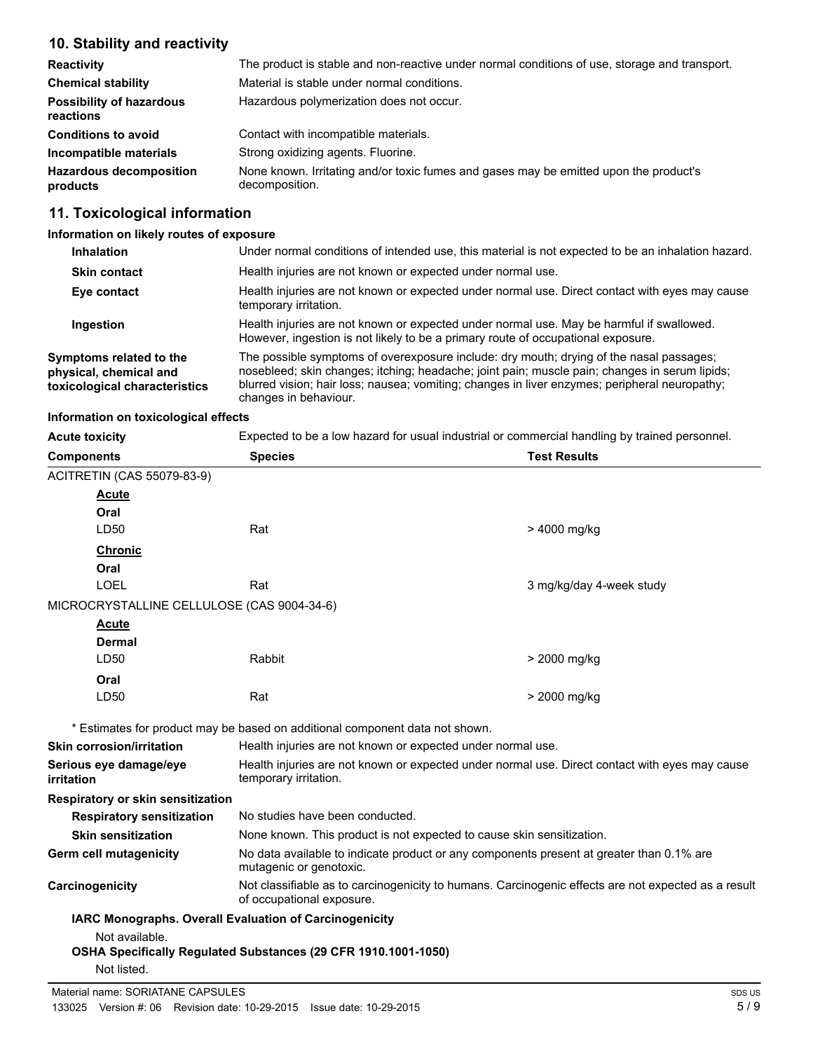# **10. Stability and reactivity**

| <b>Reactivity</b>                            | The product is stable and non-reactive under normal conditions of use, storage and transport.           |
|----------------------------------------------|---------------------------------------------------------------------------------------------------------|
| <b>Chemical stability</b>                    | Material is stable under normal conditions.                                                             |
| <b>Possibility of hazardous</b><br>reactions | Hazardous polymerization does not occur.                                                                |
| <b>Conditions to avoid</b>                   | Contact with incompatible materials.                                                                    |
| Incompatible materials                       | Strong oxidizing agents. Fluorine.                                                                      |
| <b>Hazardous decomposition</b><br>products   | None known. Irritating and/or toxic fumes and gases may be emitted upon the product's<br>decomposition. |

# **11. Toxicological information**

**Information on likely routes of exposure**

| <b>Inhalation</b>                                                                  | Under normal conditions of intended use, this material is not expected to be an inhalation hazard.                                                                                                                                                                                                                 |
|------------------------------------------------------------------------------------|--------------------------------------------------------------------------------------------------------------------------------------------------------------------------------------------------------------------------------------------------------------------------------------------------------------------|
| <b>Skin contact</b>                                                                | Health injuries are not known or expected under normal use.                                                                                                                                                                                                                                                        |
| Eye contact                                                                        | Health injuries are not known or expected under normal use. Direct contact with eyes may cause<br>temporary irritation.                                                                                                                                                                                            |
| Ingestion                                                                          | Health injuries are not known or expected under normal use. May be harmful if swallowed.<br>However, ingestion is not likely to be a primary route of occupational exposure.                                                                                                                                       |
| Symptoms related to the<br>physical, chemical and<br>toxicological characteristics | The possible symptoms of overexposure include: dry mouth; drying of the nasal passages;<br>nosebleed; skin changes; itching; headache; joint pain; muscle pain; changes in serum lipids;<br>blurred vision; hair loss; nausea; vomiting; changes in liver enzymes; peripheral neuropathy;<br>changes in behaviour. |

## **Information on toxicological effects**

| <b>Acute toxicity</b>                      | Expected to be a low hazard for usual industrial or commercial handling by trained personnel.                                    |                                                                                          |
|--------------------------------------------|----------------------------------------------------------------------------------------------------------------------------------|------------------------------------------------------------------------------------------|
| <b>Components</b>                          | <b>Species</b>                                                                                                                   | <b>Test Results</b>                                                                      |
| <b>ACITRETIN (CAS 55079-83-9)</b>          |                                                                                                                                  |                                                                                          |
| <b>Acute</b>                               |                                                                                                                                  |                                                                                          |
| Oral                                       |                                                                                                                                  |                                                                                          |
| LD50                                       | Rat                                                                                                                              | > 4000 mg/kg                                                                             |
| <b>Chronic</b>                             |                                                                                                                                  |                                                                                          |
| Oral                                       |                                                                                                                                  |                                                                                          |
| <b>LOEL</b>                                | Rat                                                                                                                              | 3 mg/kg/day 4-week study                                                                 |
| MICROCRYSTALLINE CELLULOSE (CAS 9004-34-6) |                                                                                                                                  |                                                                                          |
| <b>Acute</b>                               |                                                                                                                                  |                                                                                          |
| <b>Dermal</b>                              |                                                                                                                                  |                                                                                          |
| LD50                                       | Rabbit                                                                                                                           | > 2000 mg/kg                                                                             |
| Oral                                       |                                                                                                                                  |                                                                                          |
| LD50                                       | Rat                                                                                                                              | > 2000 mg/kg                                                                             |
|                                            | * Estimates for product may be based on additional component data not shown.                                                     |                                                                                          |
| <b>Skin corrosion/irritation</b>           |                                                                                                                                  | Health injuries are not known or expected under normal use.                              |
| Serious eye damage/eye<br>irritation       | Health injuries are not known or expected under normal use. Direct contact with eyes may cause<br>temporary irritation.          |                                                                                          |
| Respiratory or skin sensitization          |                                                                                                                                  |                                                                                          |
| <b>Respiratory sensitization</b>           | No studies have been conducted.                                                                                                  |                                                                                          |
| <b>Skin sensitization</b>                  |                                                                                                                                  | None known. This product is not expected to cause skin sensitization.                    |
| <b>Germ cell mutagenicity</b>              | mutagenic or genotoxic.                                                                                                          | No data available to indicate product or any components present at greater than 0.1% are |
| Carcinogenicity                            | Not classifiable as to carcinogenicity to humans. Carcinogenic effects are not expected as a result<br>of occupational exposure. |                                                                                          |
|                                            | <b>IARC Monographs. Overall Evaluation of Carcinogenicity</b>                                                                    |                                                                                          |
| Not available.                             |                                                                                                                                  |                                                                                          |
|                                            | OSHA Specifically Regulated Substances (29 CFR 1910.1001-1050)                                                                   |                                                                                          |
| Not listed.                                |                                                                                                                                  |                                                                                          |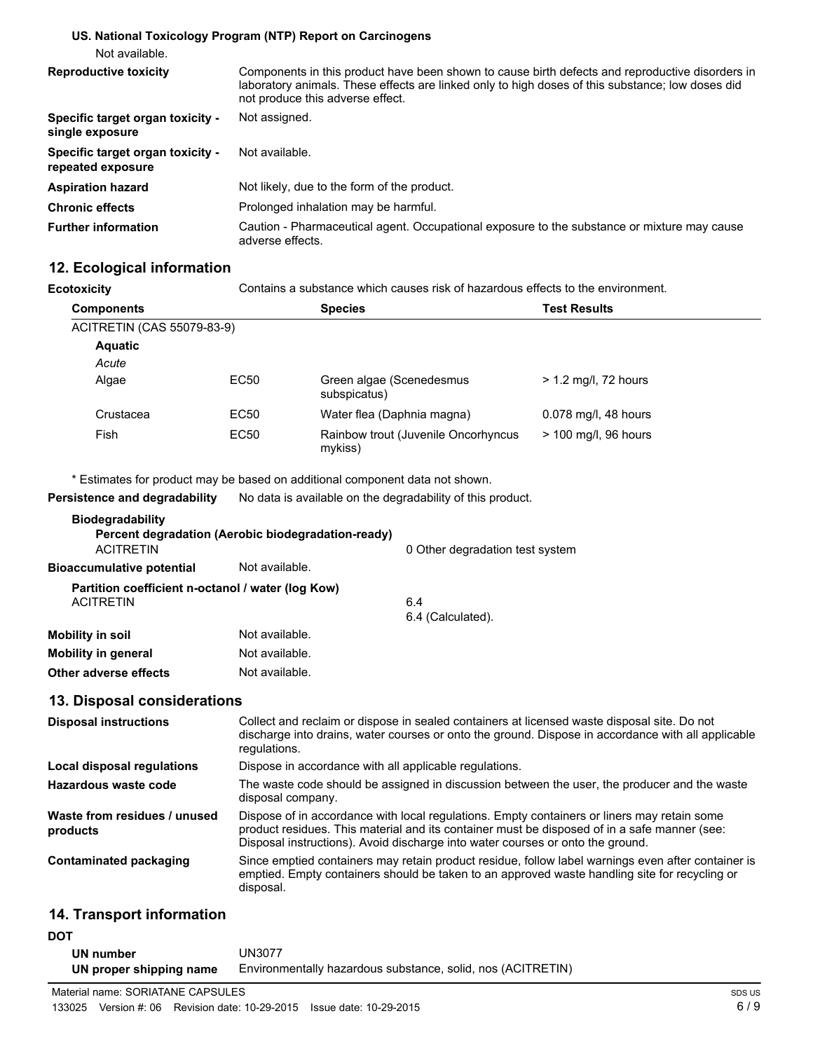#### **US. National Toxicology Program (NTP) Report on Carcinogens**

Not available.

| <b>Reproductive toxicity</b>                          | Components in this product have been shown to cause birth defects and reproductive disorders in<br>laboratory animals. These effects are linked only to high doses of this substance; low doses did<br>not produce this adverse effect. |
|-------------------------------------------------------|-----------------------------------------------------------------------------------------------------------------------------------------------------------------------------------------------------------------------------------------|
| Specific target organ toxicity -<br>single exposure   | Not assigned.                                                                                                                                                                                                                           |
| Specific target organ toxicity -<br>repeated exposure | Not available.                                                                                                                                                                                                                          |
| <b>Aspiration hazard</b>                              | Not likely, due to the form of the product.                                                                                                                                                                                             |
| <b>Chronic effects</b>                                | Prolonged inhalation may be harmful.                                                                                                                                                                                                    |
| <b>Further information</b>                            | Caution - Pharmaceutical agent. Occupational exposure to the substance or mixture may cause<br>adverse effects.                                                                                                                         |

# **12. Ecological information**

**Ecotoxicity** Contains a substance which causes risk of hazardous effects to the environment.

| <b>Components</b>                 |      | <b>Species</b>                                 | <b>Test Results</b>    |
|-----------------------------------|------|------------------------------------------------|------------------------|
| <b>ACITRETIN (CAS 55079-83-9)</b> |      |                                                |                        |
| <b>Aquatic</b>                    |      |                                                |                        |
| Acute                             |      |                                                |                        |
| Algae                             | EC50 | Green algae (Scenedesmus<br>subspicatus)       | $> 1.2$ mg/l, 72 hours |
| Crustacea                         | EC50 | Water flea (Daphnia magna)                     | 0.078 mg/l, 48 hours   |
| Fish                              | EC50 | Rainbow trout (Juvenile Oncorhyncus<br>mykiss) | > 100 mg/l, 96 hours   |

\* Estimates for product may be based on additional component data not shown.

**Persistence and degradability** No data is available on the degradability of this product.

| <b>Biodegradability</b>                                        |                                                    |                                 |
|----------------------------------------------------------------|----------------------------------------------------|---------------------------------|
| <b>ACITRETIN</b>                                               | Percent degradation (Aerobic biodegradation-ready) | 0 Other degradation test system |
| Bioaccumulative potential                                      | Not available.                                     |                                 |
| Partition coefficient n-octanol / water (log Kow)<br>ACITRETIN |                                                    | 6.4<br>6.4 (Calculated).        |
| Mobility in soil<br><b>Mobility in general</b>                 | Not available.<br>Not available.                   |                                 |
| Other adverse effects                                          | Not available.                                     |                                 |
|                                                                |                                                    |                                 |

# **13. Disposal considerations**

| <b>Disposal instructions</b>             | Collect and reclaim or dispose in sealed containers at licensed waste disposal site. Do not<br>discharge into drains, water courses or onto the ground. Dispose in accordance with all applicable<br>regulations.                                                             |
|------------------------------------------|-------------------------------------------------------------------------------------------------------------------------------------------------------------------------------------------------------------------------------------------------------------------------------|
| Local disposal regulations               | Dispose in accordance with all applicable regulations.                                                                                                                                                                                                                        |
| Hazardous waste code                     | The waste code should be assigned in discussion between the user, the producer and the waste<br>disposal company.                                                                                                                                                             |
| Waste from residues / unused<br>products | Dispose of in accordance with local regulations. Empty containers or liners may retain some<br>product residues. This material and its container must be disposed of in a safe manner (see:<br>Disposal instructions). Avoid discharge into water courses or onto the ground. |
| Contaminated packaging                   | Since emptied containers may retain product residue, follow label warnings even after container is<br>emptied. Empty containers should be taken to an approved waste handling site for recycling or<br>disposal.                                                              |

# **14. Transport information**

#### **DOT**

| UN number               | <b>JN3077</b>                                               |
|-------------------------|-------------------------------------------------------------|
| UN proper shipping name | Environmentally hazardous substance, solid, nos (ACITRETIN) |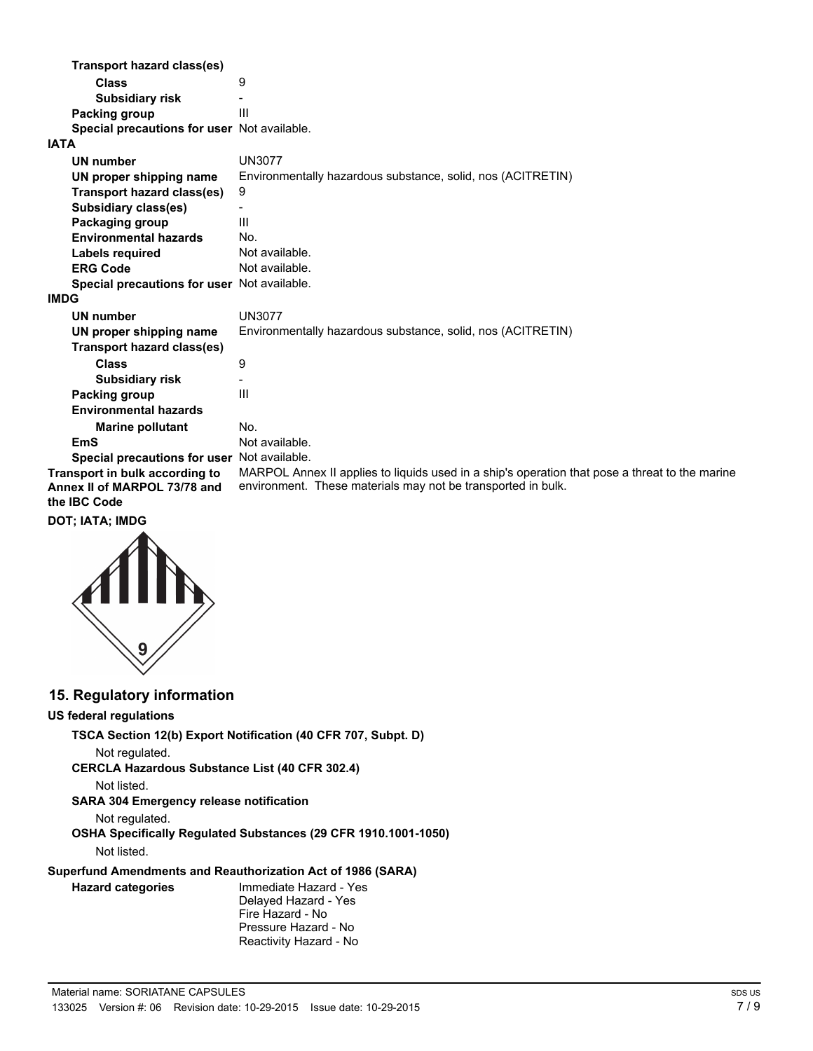| Transport hazard class(es)                   |                                                                                                |
|----------------------------------------------|------------------------------------------------------------------------------------------------|
| Class                                        | 9                                                                                              |
| <b>Subsidiary risk</b>                       |                                                                                                |
| Packing group                                | Ш                                                                                              |
| Special precautions for user Not available.  |                                                                                                |
| <b>IATA</b>                                  |                                                                                                |
| UN number                                    | <b>UN3077</b>                                                                                  |
| UN proper shipping name                      | Environmentally hazardous substance, solid, nos (ACITRETIN)                                    |
| <b>Transport hazard class(es)</b>            | 9                                                                                              |
| <b>Subsidiary class(es)</b>                  |                                                                                                |
| Packaging group                              | Ш                                                                                              |
| <b>Environmental hazards</b>                 | No.                                                                                            |
| <b>Labels required</b>                       | Not available.                                                                                 |
| <b>ERG Code</b>                              | Not available.                                                                                 |
| Special precautions for user Not available.  |                                                                                                |
| <b>IMDG</b>                                  |                                                                                                |
| UN number                                    | UN3077                                                                                         |
| UN proper shipping name                      | Environmentally hazardous substance, solid, nos (ACITRETIN)                                    |
| Transport hazard class(es)                   |                                                                                                |
| <b>Class</b>                                 | 9                                                                                              |
| <b>Subsidiary risk</b>                       |                                                                                                |
| Packing group                                | III                                                                                            |
| <b>Environmental hazards</b>                 |                                                                                                |
| <b>Marine pollutant</b>                      | No.                                                                                            |
| EmS                                          | Not available.                                                                                 |
| Special precautions for user Not available.  |                                                                                                |
| Transport in bulk according to               | MARPOL Annex II applies to liquids used in a ship's operation that pose a threat to the marine |
| Annex II of MARPOL 73/78 and<br>the IBC Code | environment. These materials may not be transported in bulk.                                   |

#### **DOT; IATA; IMDG**



## **15. Regulatory information**

#### **US federal regulations**

**TSCA Section 12(b) Export Notification (40 CFR 707, Subpt. D)**

```
Not regulated.
```
**CERCLA Hazardous Substance List (40 CFR 302.4)**

Not listed.

## **SARA 304 Emergency release notification**

Not regulated.

#### **OSHA Specifically Regulated Substances (29 CFR 1910.1001-1050)** Not listed.

#### **Superfund Amendments and Reauthorization Act of 1986 (SARA)**

# **Hazard categories**

Immediate Hazard - Yes Delayed Hazard - Yes Fire Hazard - No Pressure Hazard - No Reactivity Hazard - No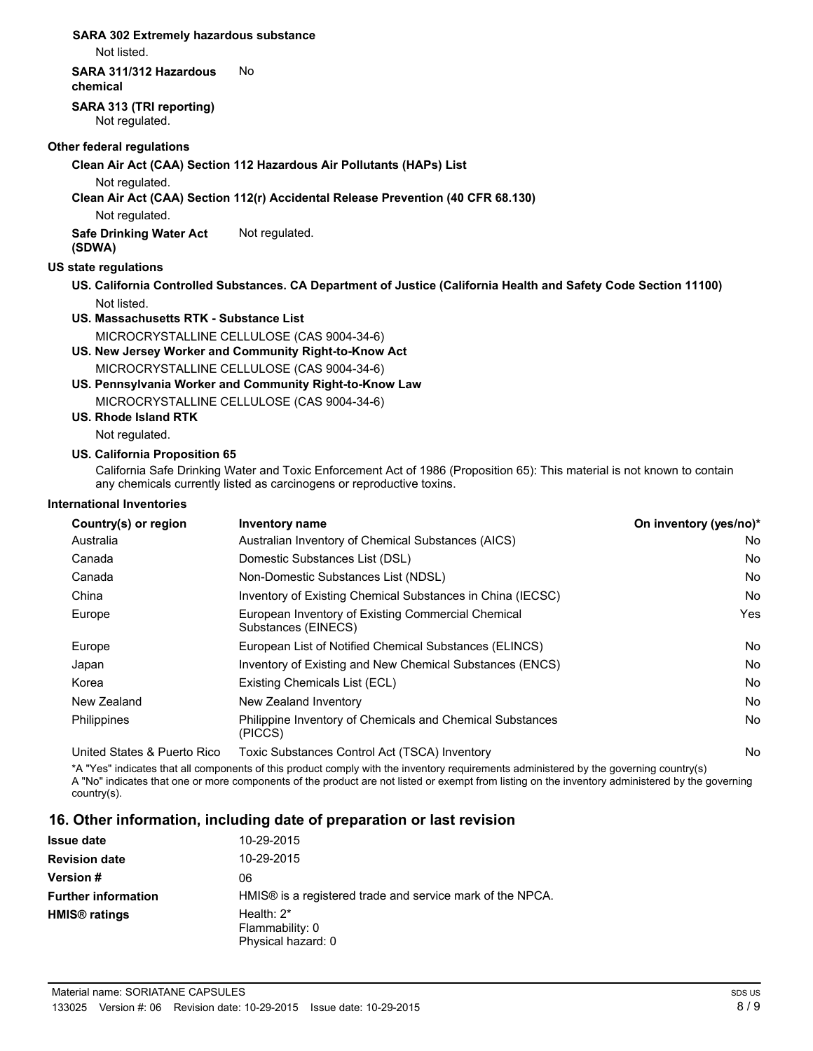#### **SARA 302 Extremely hazardous substance**

Not listed.

#### **SARA 311/312 Hazardous** No

**chemical**

**SARA 313 (TRI reporting)** Not regulated.

#### **Other federal regulations**

**Clean Air Act (CAA) Section 112 Hazardous Air Pollutants (HAPs) List**

Not regulated.

**Clean Air Act (CAA) Section 112(r) Accidental Release Prevention (40 CFR 68.130)**

Not regulated.

**Safe Drinking Water Act** Not regulated. **(SDWA)**

## **US state regulations**

- **US. California Controlled Substances. CA Department of Justice (California Health and Safety Code Section 11100)** Not listed.
- **US. Massachusetts RTK Substance List** MICROCRYSTALLINE CELLULOSE (CAS 9004-34-6)
- **US. New Jersey Worker and Community Right-to-Know Act**

MICROCRYSTALLINE CELLULOSE (CAS 9004-34-6)

- **US. Pennsylvania Worker and Community Right-to-Know Law** MICROCRYSTALLINE CELLULOSE (CAS 9004-34-6)
- **US. Rhode Island RTK**

Not regulated.

#### **US. California Proposition 65**

California Safe Drinking Water and Toxic Enforcement Act of 1986 (Proposition 65): This material is not known to contain any chemicals currently listed as carcinogens or reproductive toxins.

#### **International Inventories**

| Country(s) or region        | Inventory name                                                            | On inventory (yes/no)* |
|-----------------------------|---------------------------------------------------------------------------|------------------------|
| Australia                   | Australian Inventory of Chemical Substances (AICS)                        | No                     |
| Canada                      | Domestic Substances List (DSL)                                            | No                     |
| Canada                      | Non-Domestic Substances List (NDSL)                                       | No                     |
| China                       | Inventory of Existing Chemical Substances in China (IECSC)                | No                     |
| Europe                      | European Inventory of Existing Commercial Chemical<br>Substances (EINECS) | Yes                    |
| Europe                      | European List of Notified Chemical Substances (ELINCS)                    | No                     |
| Japan                       | Inventory of Existing and New Chemical Substances (ENCS)                  | No                     |
| Korea                       | Existing Chemicals List (ECL)                                             | No                     |
| New Zealand                 | New Zealand Inventory                                                     | No                     |
| <b>Philippines</b>          | Philippine Inventory of Chemicals and Chemical Substances<br>(PICCS)      | No                     |
| United States & Puerto Rico | Toxic Substances Control Act (TSCA) Inventory                             | No                     |

\*A "Yes" indicates that all components of this product comply with the inventory requirements administered by the governing country(s) A "No" indicates that one or more components of the product are not listed or exempt from listing on the inventory administered by the governing country(s).

## **16. Other information, including date of preparation or last revision**

| <b>Issue date</b>               | 10-29-2015                                                            |
|---------------------------------|-----------------------------------------------------------------------|
| <b>Revision date</b>            | 10-29-2015                                                            |
| <b>Version #</b>                | 06                                                                    |
| <b>Further information</b>      | HMIS <sup>®</sup> is a registered trade and service mark of the NPCA. |
| <b>HMIS<sup>®</sup></b> ratings | Health: $2^*$<br>Flammability: 0<br>Physical hazard: 0                |